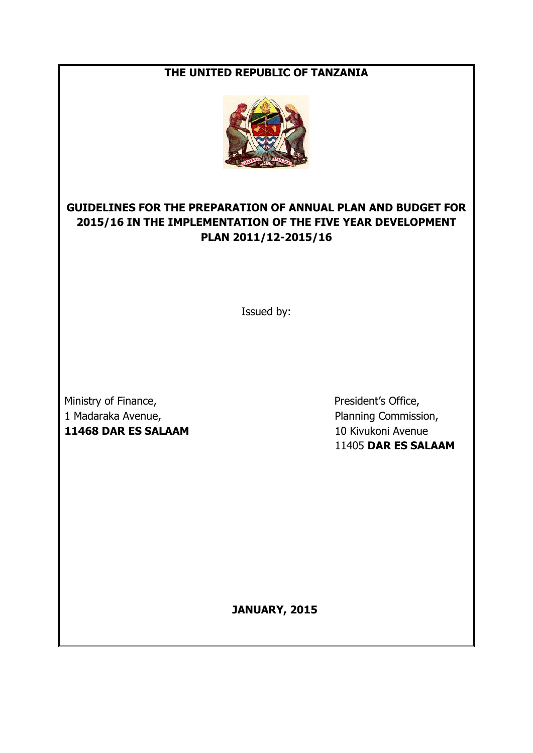#### **THE UNITED REPUBLIC OF TANZANIA**



## **GUIDELINES FOR THE PREPARATION OF ANNUAL PLAN AND BUDGET FOR 2015/16 IN THE IMPLEMENTATION OF THE FIVE YEAR DEVELOPMENT PLAN 2011/12-2015/16**

Issued by:

Ministry of Finance, The President's Office, 1 Madaraka Avenue, Planning Commission, **11468 DAR ES SALAAM** 10 Kivukoni Avenue

11405 **DAR ES SALAAM**

**JANUARY, 2015**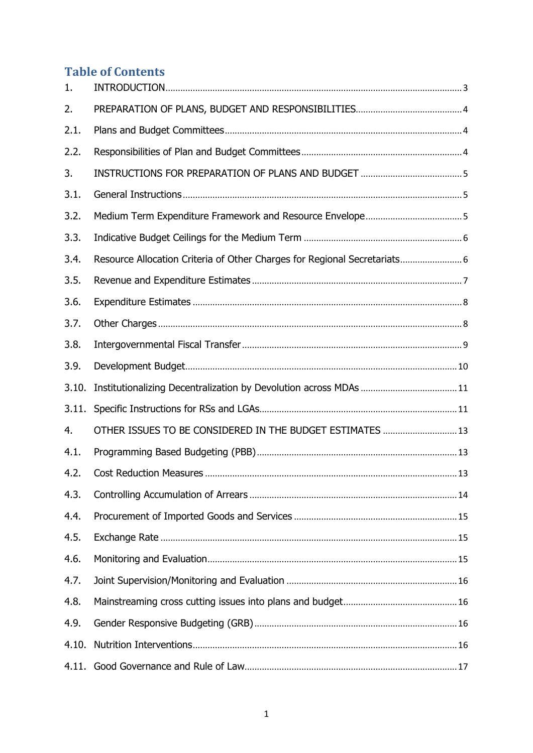# **Table of Contents**

| 1.    |                                                                           |  |
|-------|---------------------------------------------------------------------------|--|
| 2.    |                                                                           |  |
| 2.1.  |                                                                           |  |
| 2.2.  |                                                                           |  |
| 3.    |                                                                           |  |
| 3.1.  |                                                                           |  |
| 3.2.  |                                                                           |  |
| 3.3.  |                                                                           |  |
| 3.4.  | Resource Allocation Criteria of Other Charges for Regional Secretariats 6 |  |
| 3.5.  |                                                                           |  |
| 3.6.  |                                                                           |  |
| 3.7.  |                                                                           |  |
| 3.8.  |                                                                           |  |
| 3.9.  |                                                                           |  |
| 3.10. |                                                                           |  |
| 3.11. |                                                                           |  |
| 4.    | OTHER ISSUES TO BE CONSIDERED IN THE BUDGET ESTIMATES  13                 |  |
| 4.1.  |                                                                           |  |
| 4.2.  |                                                                           |  |
| 4.3.  |                                                                           |  |
| 4.4.  |                                                                           |  |
| 4.5.  |                                                                           |  |
| 4.6.  |                                                                           |  |
| 4.7.  |                                                                           |  |
| 4.8.  |                                                                           |  |
| 4.9.  |                                                                           |  |
| 4.10. |                                                                           |  |
|       |                                                                           |  |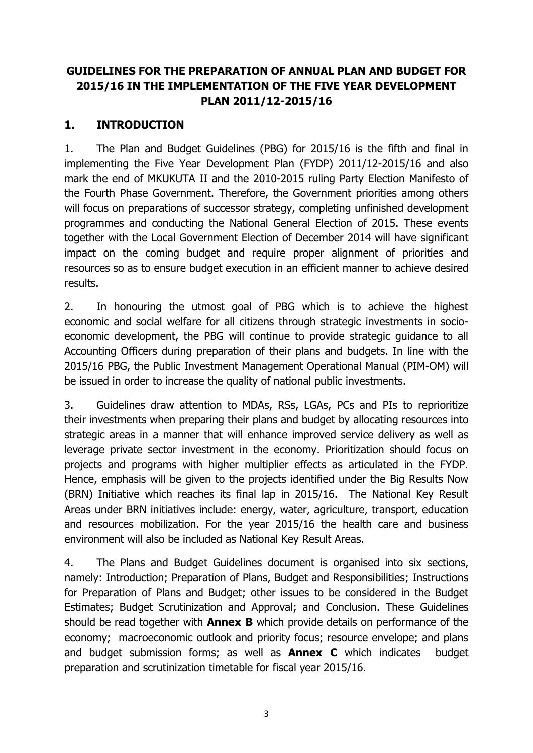## **GUIDELINES FOR THE PREPARATION OF ANNUAL PLAN AND BUDGET FOR 2015/16 IN THE IMPLEMENTATION OF THE FIVE YEAR DEVELOPMENT PLAN 2011/12-2015/16**

### <span id="page-3-0"></span>**1. INTRODUCTION**

1. The Plan and Budget Guidelines (PBG) for 2015/16 is the fifth and final in implementing the Five Year Development Plan (FYDP) 2011/12-2015/16 and also mark the end of MKUKUTA II and the 2010-2015 ruling Party Election Manifesto of the Fourth Phase Government. Therefore, the Government priorities among others will focus on preparations of successor strategy, completing unfinished development programmes and conducting the National General Election of 2015. These events together with the Local Government Election of December 2014 will have significant impact on the coming budget and require proper alignment of priorities and resources so as to ensure budget execution in an efficient manner to achieve desired results.

2. In honouring the utmost goal of PBG which is to achieve the highest economic and social welfare for all citizens through strategic investments in socioeconomic development, the PBG will continue to provide strategic guidance to all Accounting Officers during preparation of their plans and budgets. In line with the 2015/16 PBG, the Public Investment Management Operational Manual (PIM-OM) will be issued in order to increase the quality of national public investments.

3. Guidelines draw attention to MDAs, RSs, LGAs, PCs and PIs to reprioritize their investments when preparing their plans and budget by allocating resources into strategic areas in a manner that will enhance improved service delivery as well as leverage private sector investment in the economy. Prioritization should focus on projects and programs with higher multiplier effects as articulated in the FYDP. Hence, emphasis will be given to the projects identified under the Big Results Now (BRN) Initiative which reaches its final lap in 2015/16. The National Key Result Areas under BRN initiatives include: energy, water, agriculture, transport, education and resources mobilization. For the year 2015/16 the health care and business environment will also be included as National Key Result Areas.

4. The Plans and Budget Guidelines document is organised into six sections, namely: Introduction; Preparation of Plans, Budget and Responsibilities; Instructions for Preparation of Plans and Budget; other issues to be considered in the Budget Estimates; Budget Scrutinization and Approval; and Conclusion. These Guidelines should be read together with **Annex B** which provide details on performance of the economy; macroeconomic outlook and priority focus; resource envelope; and plans and budget submission forms; as well as **Annex C** which indicates budget preparation and scrutinization timetable for fiscal year 2015/16.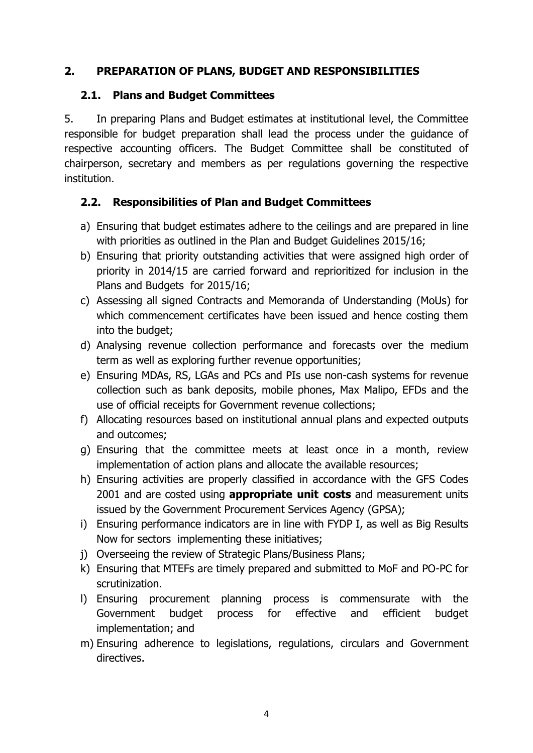### <span id="page-4-0"></span>**2. PREPARATION OF PLANS, BUDGET AND RESPONSIBILITIES**

#### <span id="page-4-1"></span>**2.1. Plans and Budget Committees**

5. In preparing Plans and Budget estimates at institutional level, the Committee responsible for budget preparation shall lead the process under the guidance of respective accounting officers. The Budget Committee shall be constituted of chairperson, secretary and members as per regulations governing the respective institution.

## <span id="page-4-2"></span>**2.2. Responsibilities of Plan and Budget Committees**

- a) Ensuring that budget estimates adhere to the ceilings and are prepared in line with priorities as outlined in the Plan and Budget Guidelines 2015/16;
- b) Ensuring that priority outstanding activities that were assigned high order of priority in 2014/15 are carried forward and reprioritized for inclusion in the Plans and Budgets for 2015/16;
- c) Assessing all signed Contracts and Memoranda of Understanding (MoUs) for which commencement certificates have been issued and hence costing them into the budget;
- d) Analysing revenue collection performance and forecasts over the medium term as well as exploring further revenue opportunities;
- e) Ensuring MDAs, RS, LGAs and PCs and PIs use non-cash systems for revenue collection such as bank deposits, mobile phones, Max Malipo, EFDs and the use of official receipts for Government revenue collections;
- f) Allocating resources based on institutional annual plans and expected outputs and outcomes;
- g) Ensuring that the committee meets at least once in a month, review implementation of action plans and allocate the available resources;
- h) Ensuring activities are properly classified in accordance with the GFS Codes 2001 and are costed using **appropriate unit costs** and measurement units issued by the Government Procurement Services Agency (GPSA);
- i) Ensuring performance indicators are in line with FYDP I, as well as Big Results Now for sectors implementing these initiatives;
- j) Overseeing the review of Strategic Plans/Business Plans;
- k) Ensuring that MTEFs are timely prepared and submitted to MoF and PO-PC for scrutinization.
- l) Ensuring procurement planning process is commensurate with the Government budget process for effective and efficient budget implementation; and
- m) Ensuring adherence to legislations, regulations, circulars and Government directives.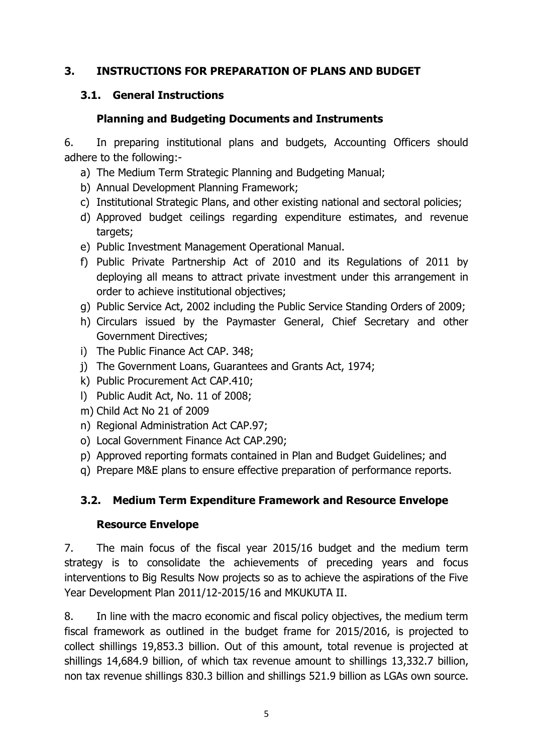### <span id="page-5-0"></span>**3. INSTRUCTIONS FOR PREPARATION OF PLANS AND BUDGET**

### <span id="page-5-1"></span>**3.1. General Instructions**

#### **Planning and Budgeting Documents and Instruments**

6. In preparing institutional plans and budgets, Accounting Officers should adhere to the following:-

- a) The Medium Term Strategic Planning and Budgeting Manual;
- b) Annual Development Planning Framework;
- c) Institutional Strategic Plans, and other existing national and sectoral policies;
- d) Approved budget ceilings regarding expenditure estimates, and revenue targets;
- e) Public Investment Management Operational Manual.
- f) Public Private Partnership Act of 2010 and its Regulations of 2011 by deploying all means to attract private investment under this arrangement in order to achieve institutional objectives;
- g) Public Service Act, 2002 including the Public Service Standing Orders of 2009;
- h) Circulars issued by the Paymaster General, Chief Secretary and other Government Directives;
- i) The Public Finance Act CAP. 348;
- j) The Government Loans, Guarantees and Grants Act, 1974;
- k) Public Procurement Act CAP.410;
- l) Public Audit Act, No. 11 of 2008;
- m) Child Act No 21 of 2009
- n) Regional Administration Act CAP.97;
- o) Local Government Finance Act CAP.290;
- p) Approved reporting formats contained in Plan and Budget Guidelines; and
- q) Prepare M&E plans to ensure effective preparation of performance reports.

### <span id="page-5-2"></span>**3.2. Medium Term Expenditure Framework and Resource Envelope**

#### **Resource Envelope**

7. The main focus of the fiscal year 2015/16 budget and the medium term strategy is to consolidate the achievements of preceding years and focus interventions to Big Results Now projects so as to achieve the aspirations of the Five Year Development Plan 2011/12-2015/16 and MKUKUTA II.

8. In line with the macro economic and fiscal policy objectives, the medium term fiscal framework as outlined in the budget frame for 2015/2016, is projected to collect shillings 19,853.3 billion. Out of this amount, total revenue is projected at shillings 14,684.9 billion, of which tax revenue amount to shillings 13,332.7 billion, non tax revenue shillings 830.3 billion and shillings 521.9 billion as LGAs own source.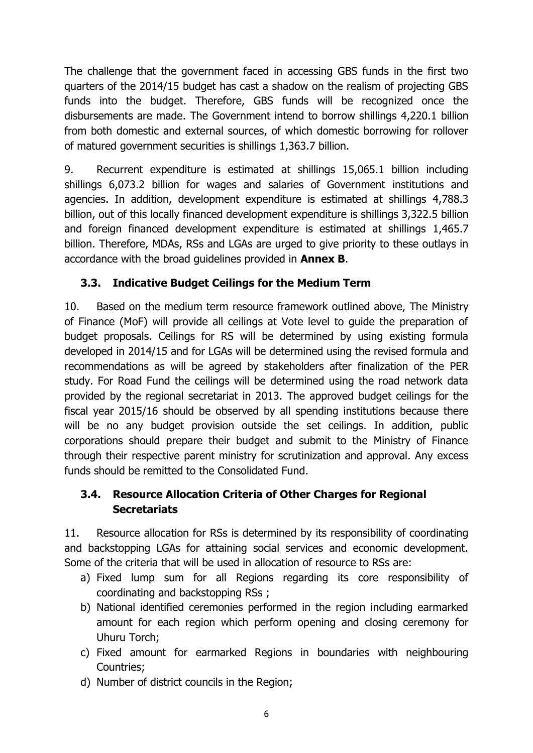The challenge that the government faced in accessing GBS funds in the first two quarters of the 2014/15 budget has cast a shadow on the realism of projecting GBS funds into the budget. Therefore, GBS funds will be recognized once the disbursements are made. The Government intend to borrow shillings 4,220.1 billion from both domestic and external sources, of which domestic borrowing for rollover of matured government securities is shillings 1,363.7 billion.

9. Recurrent expenditure is estimated at shillings 15,065.1 billion including shillings 6,073.2 billion for wages and salaries of Government institutions and agencies. In addition, development expenditure is estimated at shillings 4,788.3 billion, out of this locally financed development expenditure is shillings 3,322.5 billion and foreign financed development expenditure is estimated at shillings 1,465.7 billion. Therefore, MDAs, RSs and LGAs are urged to give priority to these outlays in accordance with the broad guidelines provided in **Annex B**.

## <span id="page-6-0"></span>**3.3. Indicative Budget Ceilings for the Medium Term**

10. Based on the medium term resource framework outlined above, The Ministry of Finance (MoF) will provide all ceilings at Vote level to guide the preparation of budget proposals. Ceilings for RS will be determined by using existing formula developed in 2014/15 and for LGAs will be determined using the revised formula and recommendations as will be agreed by stakeholders after finalization of the PER study. For Road Fund the ceilings will be determined using the road network data provided by the regional secretariat in 2013. The approved budget ceilings for the fiscal year 2015/16 should be observed by all spending institutions because there will be no any budget provision outside the set ceilings. In addition, public corporations should prepare their budget and submit to the Ministry of Finance through their respective parent ministry for scrutinization and approval. Any excess funds should be remitted to the Consolidated Fund.

## <span id="page-6-1"></span>**3.4. Resource Allocation Criteria of Other Charges for Regional Secretariats**

11. Resource allocation for RSs is determined by its responsibility of coordinating and backstopping LGAs for attaining social services and economic development. Some of the criteria that will be used in allocation of resource to RSs are:

- a) Fixed lump sum for all Regions regarding its core responsibility of coordinating and backstopping RSs ;
- b) National identified ceremonies performed in the region including earmarked amount for each region which perform opening and closing ceremony for Uhuru Torch;
- c) Fixed amount for earmarked Regions in boundaries with neighbouring Countries;
- d) Number of district councils in the Region;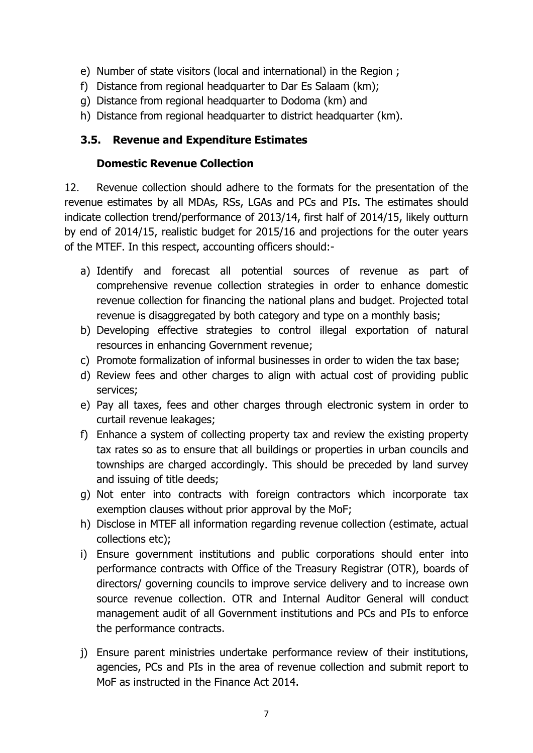- e) Number of state visitors (local and international) in the Region ;
- f) Distance from regional headquarter to Dar Es Salaam (km);
- g) Distance from regional headquarter to Dodoma (km) and
- h) Distance from regional headquarter to district headquarter (km).

### <span id="page-7-0"></span>**3.5. Revenue and Expenditure Estimates**

### **Domestic Revenue Collection**

12. Revenue collection should adhere to the formats for the presentation of the revenue estimates by all MDAs, RSs, LGAs and PCs and PIs. The estimates should indicate collection trend/performance of 2013/14, first half of 2014/15, likely outturn by end of 2014/15, realistic budget for 2015/16 and projections for the outer years of the MTEF. In this respect, accounting officers should:-

- a) Identify and forecast all potential sources of revenue as part of comprehensive revenue collection strategies in order to enhance domestic revenue collection for financing the national plans and budget. Projected total revenue is disaggregated by both category and type on a monthly basis;
- b) Developing effective strategies to control illegal exportation of natural resources in enhancing Government revenue;
- c) Promote formalization of informal businesses in order to widen the tax base;
- d) Review fees and other charges to align with actual cost of providing public services;
- e) Pay all taxes, fees and other charges through electronic system in order to curtail revenue leakages;
- f) Enhance a system of collecting property tax and review the existing property tax rates so as to ensure that all buildings or properties in urban councils and townships are charged accordingly. This should be preceded by land survey and issuing of title deeds;
- g) Not enter into contracts with foreign contractors which incorporate tax exemption clauses without prior approval by the MoF;
- h) Disclose in MTEF all information regarding revenue collection (estimate, actual collections etc);
- i) Ensure government institutions and public corporations should enter into performance contracts with Office of the Treasury Registrar (OTR), boards of directors/ governing councils to improve service delivery and to increase own source revenue collection. OTR and Internal Auditor General will conduct management audit of all Government institutions and PCs and PIs to enforce the performance contracts.
- j) Ensure parent ministries undertake performance review of their institutions, agencies, PCs and PIs in the area of revenue collection and submit report to MoF as instructed in the Finance Act 2014.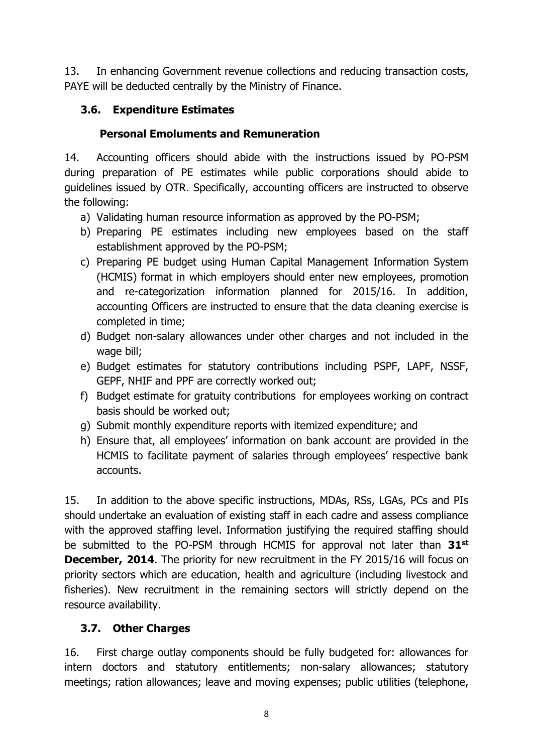13. In enhancing Government revenue collections and reducing transaction costs, PAYE will be deducted centrally by the Ministry of Finance.

## <span id="page-8-0"></span>**3.6. Expenditure Estimates**

### **Personal Emoluments and Remuneration**

14. Accounting officers should abide with the instructions issued by PO-PSM during preparation of PE estimates while public corporations should abide to guidelines issued by OTR. Specifically, accounting officers are instructed to observe the following:

- a) Validating human resource information as approved by the PO-PSM;
- b) Preparing PE estimates including new employees based on the staff establishment approved by the PO-PSM;
- c) Preparing PE budget using Human Capital Management Information System (HCMIS) format in which employers should enter new employees, promotion and re-categorization information planned for 2015/16. In addition, accounting Officers are instructed to ensure that the data cleaning exercise is completed in time;
- d) Budget non-salary allowances under other charges and not included in the wage bill;
- e) Budget estimates for statutory contributions including PSPF, LAPF, NSSF, GEPF, NHIF and PPF are correctly worked out;
- f) Budget estimate for gratuity contributions for employees working on contract basis should be worked out;
- g) Submit monthly expenditure reports with itemized expenditure; and
- h) Ensure that, all employees' information on bank account are provided in the HCMIS to facilitate payment of salaries through employees' respective bank accounts.

15. In addition to the above specific instructions, MDAs, RSs, LGAs, PCs and PIs should undertake an evaluation of existing staff in each cadre and assess compliance with the approved staffing level. Information justifying the required staffing should be submitted to the PO-PSM through HCMIS for approval not later than **31st December, 2014.** The priority for new recruitment in the FY 2015/16 will focus on priority sectors which are education, health and agriculture (including livestock and fisheries). New recruitment in the remaining sectors will strictly depend on the resource availability.

## <span id="page-8-1"></span>**3.7. Other Charges**

16. First charge outlay components should be fully budgeted for: allowances for intern doctors and statutory entitlements; non-salary allowances; statutory meetings; ration allowances; leave and moving expenses; public utilities (telephone,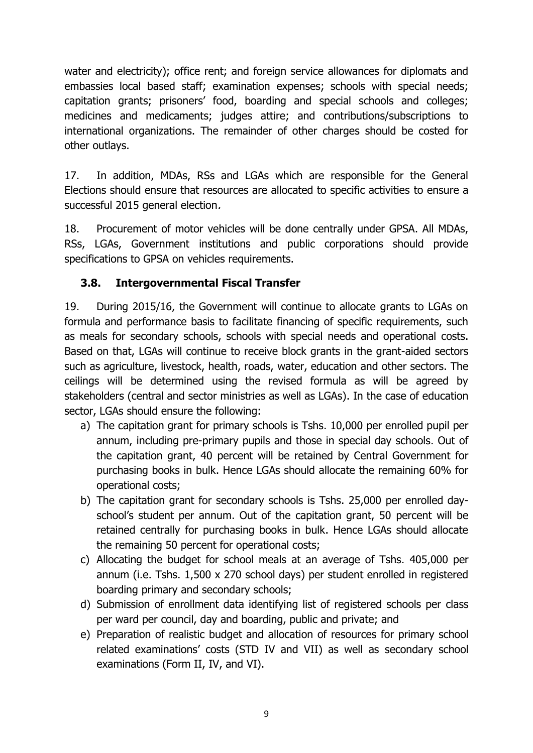water and electricity); office rent; and foreign service allowances for diplomats and embassies local based staff; examination expenses; schools with special needs; capitation grants; prisoners' food, boarding and special schools and colleges; medicines and medicaments; judges attire; and contributions/subscriptions to international organizations. The remainder of other charges should be costed for other outlays.

17. In addition, MDAs, RSs and LGAs which are responsible for the General Elections should ensure that resources are allocated to specific activities to ensure a successful 2015 general election.

18. Procurement of motor vehicles will be done centrally under GPSA. All MDAs, RSs, LGAs, Government institutions and public corporations should provide specifications to GPSA on vehicles requirements.

## <span id="page-9-0"></span>**3.8. Intergovernmental Fiscal Transfer**

19. During 2015/16, the Government will continue to allocate grants to LGAs on formula and performance basis to facilitate financing of specific requirements, such as meals for secondary schools, schools with special needs and operational costs. Based on that, LGAs will continue to receive block grants in the grant-aided sectors such as agriculture, livestock, health, roads, water, education and other sectors. The ceilings will be determined using the revised formula as will be agreed by stakeholders (central and sector ministries as well as LGAs). In the case of education sector, LGAs should ensure the following:

- a) The capitation grant for primary schools is Tshs. 10,000 per enrolled pupil per annum, including pre-primary pupils and those in special day schools. Out of the capitation grant, 40 percent will be retained by Central Government for purchasing books in bulk. Hence LGAs should allocate the remaining 60% for operational costs;
- b) The capitation grant for secondary schools is Tshs. 25,000 per enrolled dayschool's student per annum. Out of the capitation grant, 50 percent will be retained centrally for purchasing books in bulk. Hence LGAs should allocate the remaining 50 percent for operational costs;
- c) Allocating the budget for school meals at an average of Tshs. 405,000 per annum (i.e. Tshs. 1,500 x 270 school days) per student enrolled in registered boarding primary and secondary schools;
- d) Submission of enrollment data identifying list of registered schools per class per ward per council, day and boarding, public and private; and
- e) Preparation of realistic budget and allocation of resources for primary school related examinations' costs (STD IV and VII) as well as secondary school examinations (Form II, IV, and VI).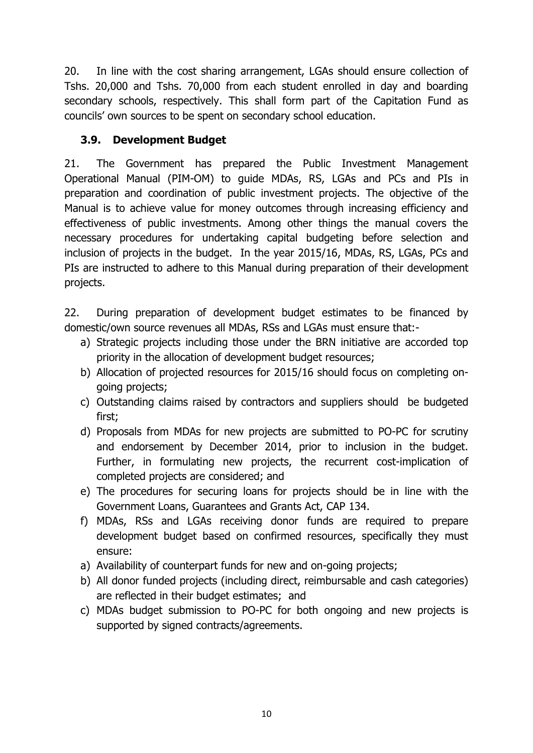20. In line with the cost sharing arrangement, LGAs should ensure collection of Tshs. 20,000 and Tshs. 70,000 from each student enrolled in day and boarding secondary schools, respectively. This shall form part of the Capitation Fund as councils' own sources to be spent on secondary school education.

## <span id="page-10-0"></span>**3.9. Development Budget**

21. The Government has prepared the Public Investment Management Operational Manual (PIM-OM) to guide MDAs, RS, LGAs and PCs and PIs in preparation and coordination of public investment projects. The objective of the Manual is to achieve value for money outcomes through increasing efficiency and effectiveness of public investments. Among other things the manual covers the necessary procedures for undertaking capital budgeting before selection and inclusion of projects in the budget. In the year 2015/16, MDAs, RS, LGAs, PCs and PIs are instructed to adhere to this Manual during preparation of their development projects.

22. During preparation of development budget estimates to be financed by domestic/own source revenues all MDAs, RSs and LGAs must ensure that:-

- a) Strategic projects including those under the BRN initiative are accorded top priority in the allocation of development budget resources;
- b) Allocation of projected resources for 2015/16 should focus on completing ongoing projects;
- c) Outstanding claims raised by contractors and suppliers should be budgeted first;
- d) Proposals from MDAs for new projects are submitted to PO-PC for scrutiny and endorsement by December 2014, prior to inclusion in the budget. Further, in formulating new projects, the recurrent cost-implication of completed projects are considered; and
- e) The procedures for securing loans for projects should be in line with the Government Loans, Guarantees and Grants Act, CAP 134.
- f) MDAs, RSs and LGAs receiving donor funds are required to prepare development budget based on confirmed resources, specifically they must ensure:
- a) Availability of counterpart funds for new and on-going projects;
- b) All donor funded projects (including direct, reimbursable and cash categories) are reflected in their budget estimates; and
- <span id="page-10-1"></span>c) MDAs budget submission to PO-PC for both ongoing and new projects is supported by signed contracts/agreements.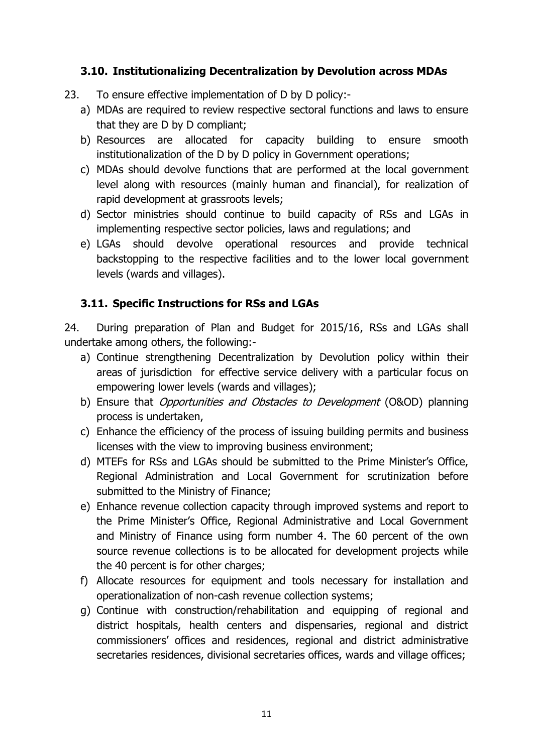### **3.10. Institutionalizing Decentralization by Devolution across MDAs**

- 23. To ensure effective implementation of D by D policy:
	- a) MDAs are required to review respective sectoral functions and laws to ensure that they are D by D compliant;
	- b) Resources are allocated for capacity building to ensure smooth institutionalization of the D by D policy in Government operations;
	- c) MDAs should devolve functions that are performed at the local government level along with resources (mainly human and financial), for realization of rapid development at grassroots levels;
	- d) Sector ministries should continue to build capacity of RSs and LGAs in implementing respective sector policies, laws and regulations; and
	- e) LGAs should devolve operational resources and provide technical backstopping to the respective facilities and to the lower local government levels (wards and villages).

### <span id="page-11-0"></span>**3.11. Specific Instructions for RSs and LGAs**

24. During preparation of Plan and Budget for 2015/16, RSs and LGAs shall undertake among others, the following:-

- a) Continue strengthening Decentralization by Devolution policy within their areas of jurisdiction for effective service delivery with a particular focus on empowering lower levels (wards and villages);
- b) Ensure that *Opportunities and Obstacles to Development* (O&OD) planning process is undertaken,
- c) Enhance the efficiency of the process of issuing building permits and business licenses with the view to improving business environment;
- d) MTEFs for RSs and LGAs should be submitted to the Prime Minister's Office, Regional Administration and Local Government for scrutinization before submitted to the Ministry of Finance;
- e) Enhance revenue collection capacity through improved systems and report to the Prime Minister's Office, Regional Administrative and Local Government and Ministry of Finance using form number 4. The 60 percent of the own source revenue collections is to be allocated for development projects while the 40 percent is for other charges;
- f) Allocate resources for equipment and tools necessary for installation and operationalization of non-cash revenue collection systems;
- g) Continue with construction/rehabilitation and equipping of regional and district hospitals, health centers and dispensaries, regional and district commissioners' offices and residences, regional and district administrative secretaries residences, divisional secretaries offices, wards and village offices;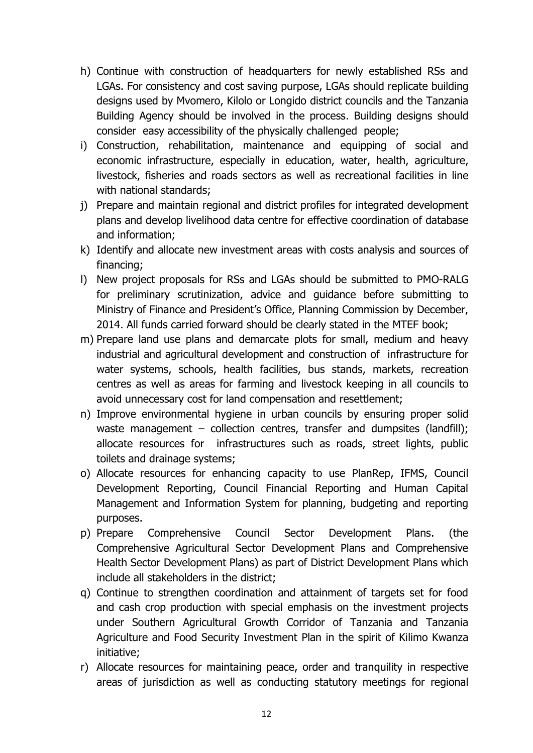- h) Continue with construction of headquarters for newly established RSs and LGAs. For consistency and cost saving purpose, LGAs should replicate building designs used by Mvomero, Kilolo or Longido district councils and the Tanzania Building Agency should be involved in the process. Building designs should consider easy accessibility of the physically challenged people;
- i) Construction, rehabilitation, maintenance and equipping of social and economic infrastructure, especially in education, water, health, agriculture, livestock, fisheries and roads sectors as well as recreational facilities in line with national standards;
- j) Prepare and maintain regional and district profiles for integrated development plans and develop livelihood data centre for effective coordination of database and information;
- k) Identify and allocate new investment areas with costs analysis and sources of financing;
- l) New project proposals for RSs and LGAs should be submitted to PMO-RALG for preliminary scrutinization, advice and guidance before submitting to Ministry of Finance and President's Office, Planning Commission by December, 2014. All funds carried forward should be clearly stated in the MTEF book;
- m) Prepare land use plans and demarcate plots for small, medium and heavy industrial and agricultural development and construction of infrastructure for water systems, schools, health facilities, bus stands, markets, recreation centres as well as areas for farming and livestock keeping in all councils to avoid unnecessary cost for land compensation and resettlement;
- n) Improve environmental hygiene in urban councils by ensuring proper solid waste management – collection centres, transfer and dumpsites (landfill); allocate resources for infrastructures such as roads, street lights, public toilets and drainage systems;
- o) Allocate resources for enhancing capacity to use PlanRep, IFMS, Council Development Reporting, Council Financial Reporting and Human Capital Management and Information System for planning, budgeting and reporting purposes.
- p) Prepare Comprehensive Council Sector Development Plans. (the Comprehensive Agricultural Sector Development Plans and Comprehensive Health Sector Development Plans) as part of District Development Plans which include all stakeholders in the district;
- q) Continue to strengthen coordination and attainment of targets set for food and cash crop production with special emphasis on the investment projects under Southern Agricultural Growth Corridor of Tanzania and Tanzania Agriculture and Food Security Investment Plan in the spirit of Kilimo Kwanza initiative;
- r) Allocate resources for maintaining peace, order and tranquility in respective areas of jurisdiction as well as conducting statutory meetings for regional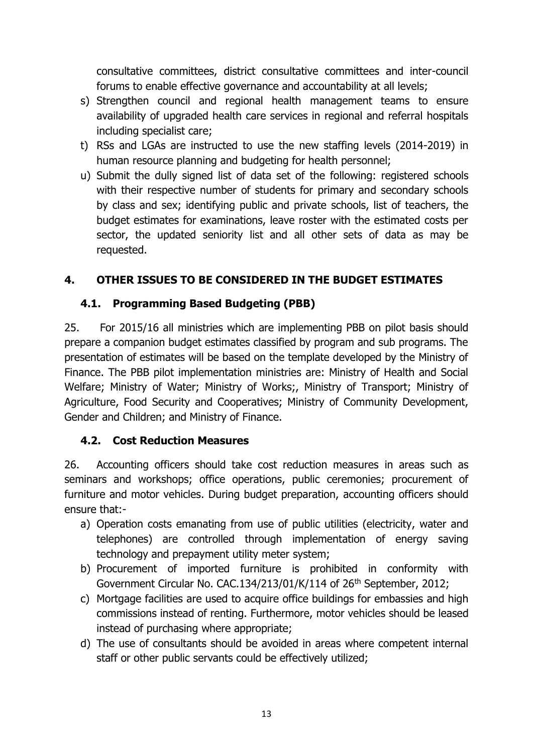consultative committees, district consultative committees and inter-council forums to enable effective governance and accountability at all levels;

- s) Strengthen council and regional health management teams to ensure availability of upgraded health care services in regional and referral hospitals including specialist care;
- t) RSs and LGAs are instructed to use the new staffing levels (2014-2019) in human resource planning and budgeting for health personnel;
- u) Submit the dully signed list of data set of the following: registered schools with their respective number of students for primary and secondary schools by class and sex; identifying public and private schools, list of teachers, the budget estimates for examinations, leave roster with the estimated costs per sector, the updated seniority list and all other sets of data as may be requested.

### <span id="page-13-0"></span>**4. OTHER ISSUES TO BE CONSIDERED IN THE BUDGET ESTIMATES**

### <span id="page-13-1"></span>**4.1. Programming Based Budgeting (PBB)**

25. For 2015/16 all ministries which are implementing PBB on pilot basis should prepare a companion budget estimates classified by program and sub programs. The presentation of estimates will be based on the template developed by the Ministry of Finance. The PBB pilot implementation ministries are: Ministry of Health and Social Welfare; Ministry of Water; Ministry of Works;, Ministry of Transport; Ministry of Agriculture, Food Security and Cooperatives; Ministry of Community Development, Gender and Children; and Ministry of Finance.

### <span id="page-13-2"></span>**4.2. Cost Reduction Measures**

26. Accounting officers should take cost reduction measures in areas such as seminars and workshops; office operations, public ceremonies; procurement of furniture and motor vehicles. During budget preparation, accounting officers should ensure that:-

- a) Operation costs emanating from use of public utilities (electricity, water and telephones) are controlled through implementation of energy saving technology and prepayment utility meter system;
- b) Procurement of imported furniture is prohibited in conformity with Government Circular No. CAC.134/213/01/K/114 of 26<sup>th</sup> September, 2012;
- c) Mortgage facilities are used to acquire office buildings for embassies and high commissions instead of renting. Furthermore, motor vehicles should be leased instead of purchasing where appropriate;
- d) The use of consultants should be avoided in areas where competent internal staff or other public servants could be effectively utilized;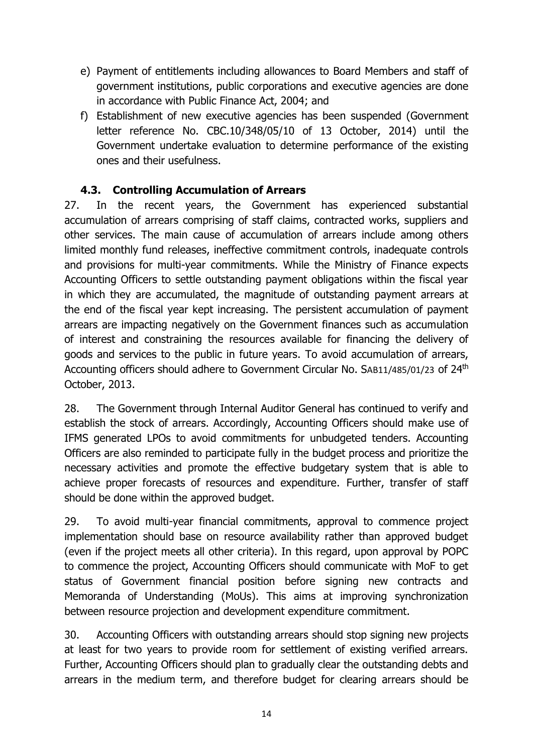- e) Payment of entitlements including allowances to Board Members and staff of government institutions, public corporations and executive agencies are done in accordance with Public Finance Act, 2004; and
- f) Establishment of new executive agencies has been suspended (Government letter reference No. CBC.10/348/05/10 of 13 October, 2014) until the Government undertake evaluation to determine performance of the existing ones and their usefulness.

### **4.3. Controlling Accumulation of Arrears**

<span id="page-14-0"></span>27. In the recent years, the Government has experienced substantial accumulation of arrears comprising of staff claims, contracted works, suppliers and other services. The main cause of accumulation of arrears include among others limited monthly fund releases, ineffective commitment controls, inadequate controls and provisions for multi-year commitments. While the Ministry of Finance expects Accounting Officers to settle outstanding payment obligations within the fiscal year in which they are accumulated, the magnitude of outstanding payment arrears at the end of the fiscal year kept increasing. The persistent accumulation of payment arrears are impacting negatively on the Government finances such as accumulation of interest and constraining the resources available for financing the delivery of goods and services to the public in future years. To avoid accumulation of arrears, Accounting officers should adhere to Government Circular No. SAB11/485/01/23 of 24th October, 2013.

28. The Government through Internal Auditor General has continued to verify and establish the stock of arrears. Accordingly, Accounting Officers should make use of IFMS generated LPOs to avoid commitments for unbudgeted tenders. Accounting Officers are also reminded to participate fully in the budget process and prioritize the necessary activities and promote the effective budgetary system that is able to achieve proper forecasts of resources and expenditure. Further, transfer of staff should be done within the approved budget.

29. To avoid multi-year financial commitments, approval to commence project implementation should base on resource availability rather than approved budget (even if the project meets all other criteria). In this regard, upon approval by POPC to commence the project, Accounting Officers should communicate with MoF to get status of Government financial position before signing new contracts and Memoranda of Understanding (MoUs). This aims at improving synchronization between resource projection and development expenditure commitment.

30. Accounting Officers with outstanding arrears should stop signing new projects at least for two years to provide room for settlement of existing verified arrears. Further, Accounting Officers should plan to gradually clear the outstanding debts and arrears in the medium term, and therefore budget for clearing arrears should be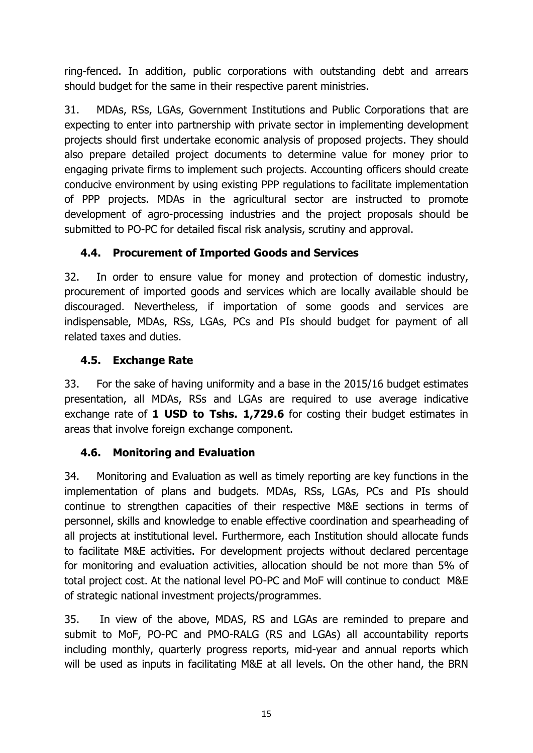ring-fenced. In addition, public corporations with outstanding debt and arrears should budget for the same in their respective parent ministries.

31. MDAs, RSs, LGAs, Government Institutions and Public Corporations that are expecting to enter into partnership with private sector in implementing development projects should first undertake economic analysis of proposed projects. They should also prepare detailed project documents to determine value for money prior to engaging private firms to implement such projects. Accounting officers should create conducive environment by using existing PPP regulations to facilitate implementation of PPP projects. MDAs in the agricultural sector are instructed to promote development of agro-processing industries and the project proposals should be submitted to PO-PC for detailed fiscal risk analysis, scrutiny and approval.

## <span id="page-15-0"></span>**4.4. Procurement of Imported Goods and Services**

32. In order to ensure value for money and protection of domestic industry, procurement of imported goods and services which are locally available should be discouraged. Nevertheless, if importation of some goods and services are indispensable, MDAs, RSs, LGAs, PCs and PIs should budget for payment of all related taxes and duties.

## <span id="page-15-1"></span>**4.5. Exchange Rate**

33. For the sake of having uniformity and a base in the 2015/16 budget estimates presentation, all MDAs, RSs and LGAs are required to use average indicative exchange rate of **1 USD to Tshs. 1,729.6** for costing their budget estimates in areas that involve foreign exchange component.

## <span id="page-15-2"></span>**4.6. Monitoring and Evaluation**

34. Monitoring and Evaluation as well as timely reporting are key functions in the implementation of plans and budgets. MDAs, RSs, LGAs, PCs and PIs should continue to strengthen capacities of their respective M&E sections in terms of personnel, skills and knowledge to enable effective coordination and spearheading of all projects at institutional level. Furthermore, each Institution should allocate funds to facilitate M&E activities. For development projects without declared percentage for monitoring and evaluation activities, allocation should be not more than 5% of total project cost. At the national level PO-PC and MoF will continue to conduct M&E of strategic national investment projects/programmes.

35. In view of the above, MDAS, RS and LGAs are reminded to prepare and submit to MoF, PO-PC and PMO-RALG (RS and LGAs) all accountability reports including monthly, quarterly progress reports, mid-year and annual reports which will be used as inputs in facilitating M&E at all levels. On the other hand, the BRN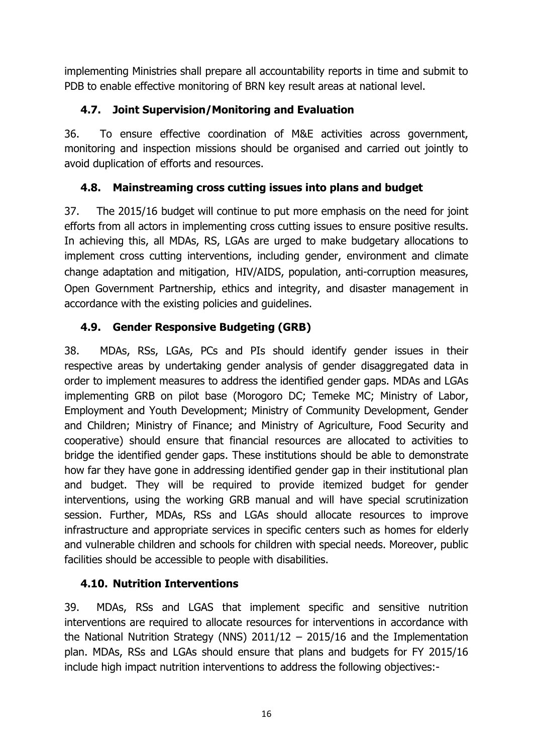implementing Ministries shall prepare all accountability reports in time and submit to PDB to enable effective monitoring of BRN key result areas at national level.

## <span id="page-16-0"></span>**4.7. Joint Supervision/Monitoring and Evaluation**

36. To ensure effective coordination of M&E activities across government, monitoring and inspection missions should be organised and carried out jointly to avoid duplication of efforts and resources.

## <span id="page-16-1"></span>**4.8. Mainstreaming cross cutting issues into plans and budget**

37. The 2015/16 budget will continue to put more emphasis on the need for joint efforts from all actors in implementing cross cutting issues to ensure positive results. In achieving this, all MDAs, RS, LGAs are urged to make budgetary allocations to implement cross cutting interventions, including gender, environment and climate change adaptation and mitigation, HIV/AIDS, population, anti-corruption measures, Open Government Partnership, ethics and integrity, and disaster management in accordance with the existing policies and guidelines.

## <span id="page-16-2"></span>**4.9. Gender Responsive Budgeting (GRB)**

38. MDAs, RSs, LGAs, PCs and PIs should identify gender issues in their respective areas by undertaking gender analysis of gender disaggregated data in order to implement measures to address the identified gender gaps. MDAs and LGAs implementing GRB on pilot base (Morogoro DC; Temeke MC; Ministry of Labor, Employment and Youth Development; Ministry of Community Development, Gender and Children; Ministry of Finance; and Ministry of Agriculture, Food Security and cooperative) should ensure that financial resources are allocated to activities to bridge the identified gender gaps. These institutions should be able to demonstrate how far they have gone in addressing identified gender gap in their institutional plan and budget. They will be required to provide itemized budget for gender interventions, using the working GRB manual and will have special scrutinization session. Further, MDAs, RSs and LGAs should allocate resources to improve infrastructure and appropriate services in specific centers such as homes for elderly and vulnerable children and schools for children with special needs. Moreover, public facilities should be accessible to people with disabilities.

## <span id="page-16-3"></span>**4.10. Nutrition Interventions**

39. MDAs, RSs and LGAS that implement specific and sensitive nutrition interventions are required to allocate resources for interventions in accordance with the National Nutrition Strategy (NNS) 2011/12 – 2015/16 and the Implementation plan. MDAs, RSs and LGAs should ensure that plans and budgets for FY 2015/16 include high impact nutrition interventions to address the following objectives:-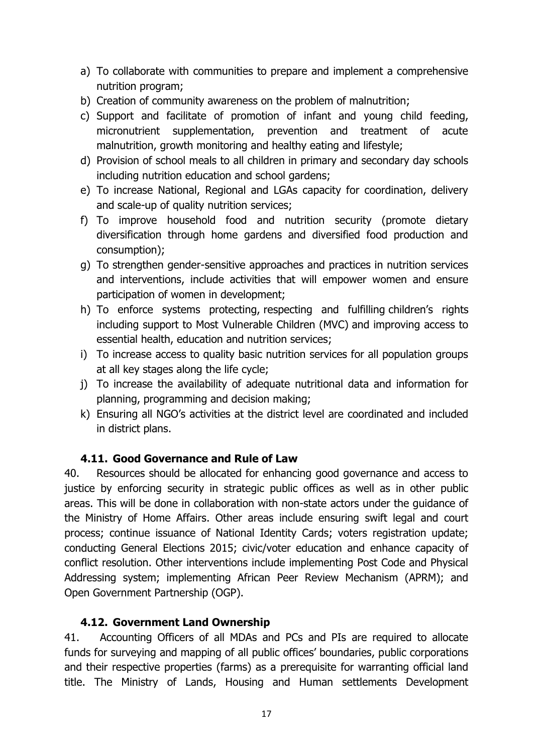- a) To collaborate with communities to prepare and implement a comprehensive nutrition program;
- b) Creation of community awareness on the problem of malnutrition;
- c) Support and facilitate of promotion of infant and young child feeding, micronutrient supplementation, prevention and treatment of acute malnutrition, growth monitoring and healthy eating and lifestyle;
- d) Provision of school meals to all children in primary and secondary day schools including nutrition education and school gardens;
- e) To increase National, Regional and LGAs capacity for coordination, delivery and scale-up of quality nutrition services;
- f) To improve household food and nutrition security (promote dietary diversification through home gardens and diversified food production and consumption);
- g) To strengthen gender-sensitive approaches and practices in nutrition services and interventions, include activities that will empower women and ensure participation of women in development;
- h) To enforce systems protecting, respecting and fulfilling children's rights including support to Most Vulnerable Children (MVC) and improving access to essential health, education and nutrition services;
- i) To increase access to quality basic nutrition services for all population groups at all key stages along the life cycle;
- j) To increase the availability of adequate nutritional data and information for planning, programming and decision making;
- k) Ensuring all NGO's activities at the district level are coordinated and included in district plans.

### **4.11. Good Governance and Rule of Law**

<span id="page-17-0"></span>40. Resources should be allocated for enhancing good governance and access to justice by enforcing security in strategic public offices as well as in other public areas. This will be done in collaboration with non-state actors under the guidance of the Ministry of Home Affairs. Other areas include ensuring swift legal and court process; continue issuance of National Identity Cards; voters registration update; conducting General Elections 2015; civic/voter education and enhance capacity of conflict resolution. Other interventions include implementing Post Code and Physical Addressing system; implementing African Peer Review Mechanism (APRM); and Open Government Partnership (OGP).

## **4.12. Government Land Ownership**

<span id="page-17-1"></span>41. Accounting Officers of all MDAs and PCs and PIs are required to allocate funds for surveying and mapping of all public offices' boundaries, public corporations and their respective properties (farms) as a prerequisite for warranting official land title. The Ministry of Lands, Housing and Human settlements Development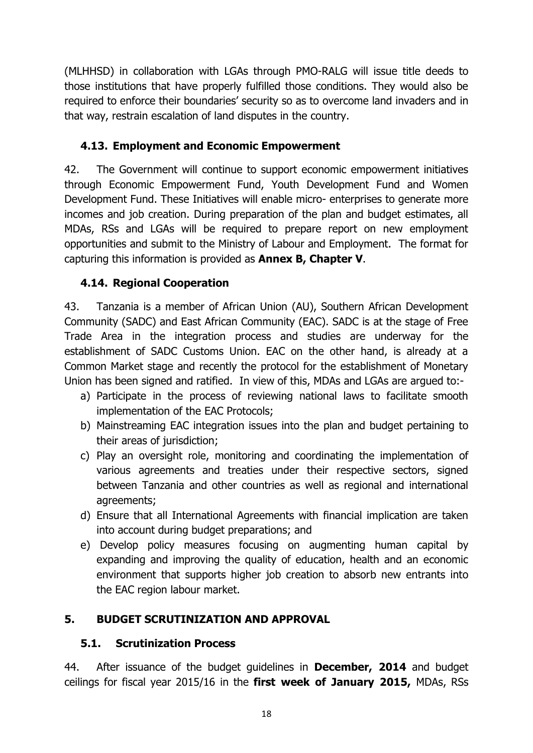(MLHHSD) in collaboration with LGAs through PMO-RALG will issue title deeds to those institutions that have properly fulfilled those conditions. They would also be required to enforce their boundaries' security so as to overcome land invaders and in that way, restrain escalation of land disputes in the country.

## <span id="page-18-0"></span>**4.13. Employment and Economic Empowerment**

42. The Government will continue to support economic empowerment initiatives through Economic Empowerment Fund, Youth Development Fund and Women Development Fund. These Initiatives will enable micro- enterprises to generate more incomes and job creation. During preparation of the plan and budget estimates, all MDAs, RSs and LGAs will be required to prepare report on new employment opportunities and submit to the Ministry of Labour and Employment. The format for capturing this information is provided as **Annex B, Chapter V**.

## <span id="page-18-1"></span>**4.14. Regional Cooperation**

43. Tanzania is a member of African Union (AU), Southern African Development Community (SADC) and East African Community (EAC). SADC is at the stage of Free Trade Area in the integration process and studies are underway for the establishment of SADC Customs Union. EAC on the other hand, is already at a Common Market stage and recently the protocol for the establishment of Monetary Union has been signed and ratified. In view of this, MDAs and LGAs are argued to:-

- a) Participate in the process of reviewing national laws to facilitate smooth implementation of the EAC Protocols;
- b) Mainstreaming EAC integration issues into the plan and budget pertaining to their areas of jurisdiction;
- c) Play an oversight role, monitoring and coordinating the implementation of various agreements and treaties under their respective sectors, signed between Tanzania and other countries as well as regional and international agreements;
- d) Ensure that all International Agreements with financial implication are taken into account during budget preparations; and
- e) Develop policy measures focusing on augmenting human capital by expanding and improving the quality of education, health and an economic environment that supports higher job creation to absorb new entrants into the EAC region labour market.

## <span id="page-18-2"></span>**5. BUDGET SCRUTINIZATION AND APPROVAL**

### <span id="page-18-3"></span>**5.1. Scrutinization Process**

44. After issuance of the budget guidelines in **December, 2014** and budget ceilings for fiscal year 2015/16 in the **first week of January 2015,** MDAs, RSs